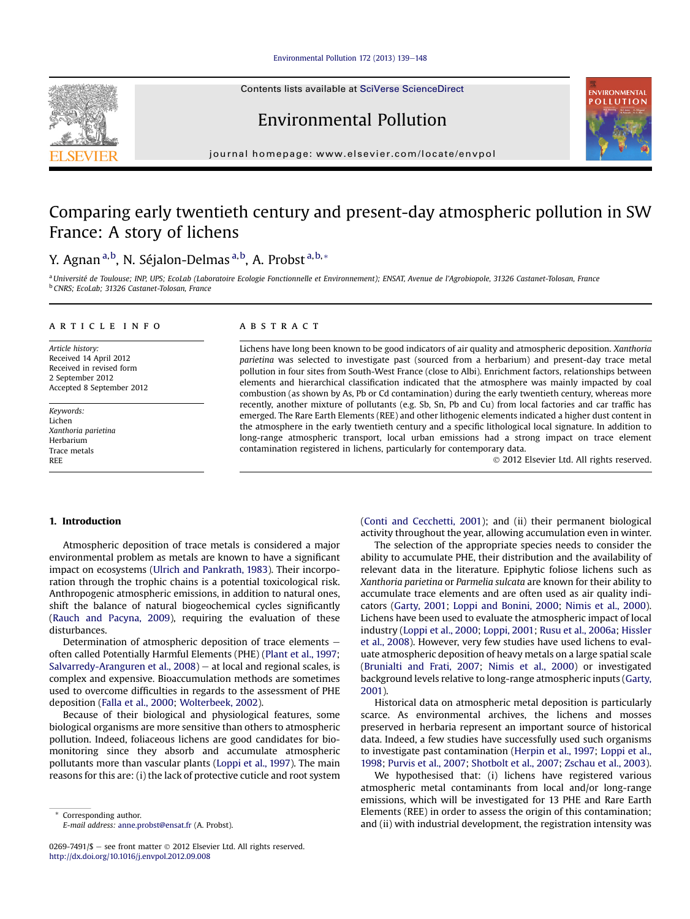# Environmental Pollution  $172$  (2013)  $139-148$  $139-148$

Contents lists available at SciVerse ScienceDirect

Environmental Pollution

journal homepage: [www.elsevier.com/locate/envpol](http://www.elsevier.com/locate/envpol)

# Comparing early twentieth century and present-day atmospheric pollution in SW France: A story of lichens

# Y. Agnan <sup>a,b</sup>, N. Séjalon-Delmas <sup>a,b</sup>, A. Probst <sup>a,b,</sup>\*

<sup>a</sup> Université de Toulouse; INP, UPS; EcoLab (Laboratoire Ecologie Fonctionnelle et Environnement); ENSAT, Avenue de l'Agrobiopole, 31326 Castanet-Tolosan, France <sup>b</sup> CNRS; EcoLab; 31326 Castanet-Tolosan, France

#### article info

Article history: Received 14 April 2012 Received in revised form 2 September 2012 Accepted 8 September 2012

Keywords: Lichen Xanthoria parietina Herbarium Trace metals REE

#### **ABSTRACT**

Lichens have long been known to be good indicators of air quality and atmospheric deposition. Xanthoria parietina was selected to investigate past (sourced from a herbarium) and present-day trace metal pollution in four sites from South-West France (close to Albi). Enrichment factors, relationships between elements and hierarchical classification indicated that the atmosphere was mainly impacted by coal combustion (as shown by As, Pb or Cd contamination) during the early twentieth century, whereas more recently, another mixture of pollutants (e.g. Sb, Sn, Pb and Cu) from local factories and car traffic has emerged. The Rare Earth Elements (REE) and other lithogenic elements indicated a higher dust content in the atmosphere in the early twentieth century and a specific lithological local signature. In addition to long-range atmospheric transport, local urban emissions had a strong impact on trace element contamination registered in lichens, particularly for contemporary data.

2012 Elsevier Ltd. All rights reserved.

# 1. Introduction

Atmospheric deposition of trace metals is considered a major environmental problem as metals are known to have a significant impact on ecosystems [\(Ulrich and Pankrath, 1983](#page-9-0)). Their incorporation through the trophic chains is a potential toxicological risk. Anthropogenic atmospheric emissions, in addition to natural ones, shift the balance of natural biogeochemical cycles significantly ([Rauch and Pacyna, 2009\)](#page-8-0), requiring the evaluation of these disturbances.

Determination of atmospheric deposition of trace elements  $$ often called Potentially Harmful Elements (PHE) [\(Plant et al., 1997;](#page-8-0) Salvarredy-Aranguren et al.,  $2008$ ) – at local and regional scales, is complex and expensive. Bioaccumulation methods are sometimes used to overcome difficulties in regards to the assessment of PHE deposition ([Falla et al., 2000;](#page-8-0) [Wolterbeek, 2002\)](#page-9-0).

Because of their biological and physiological features, some biological organisms are more sensitive than others to atmospheric pollution. Indeed, foliaceous lichens are good candidates for biomonitoring since they absorb and accumulate atmospheric pollutants more than vascular plants [\(Loppi et al., 1997\)](#page-8-0). The main reasons for this are: (i) the lack of protective cuticle and root system

Corresponding author. E-mail address: [anne.probst@ensat.fr](mailto:anne.probst@ensat.fr) (A. Probst).

0269-7491/\$ - see front matter  $\odot$  2012 Elsevier Ltd. All rights reserved. <http://dx.doi.org/10.1016/j.envpol.2012.09.008>

([Conti and Cecchetti, 2001](#page-8-0)); and (ii) their permanent biological activity throughout the year, allowing accumulation even in winter.

The selection of the appropriate species needs to consider the ability to accumulate PHE, their distribution and the availability of relevant data in the literature. Epiphytic foliose lichens such as Xanthoria parietina or Parmelia sulcata are known for their ability to accumulate trace elements and are often used as air quality indicators [\(Garty, 2001](#page-8-0); [Loppi and Bonini, 2000](#page-8-0); [Nimis et al., 2000\)](#page-8-0). Lichens have been used to evaluate the atmospheric impact of local industry [\(Loppi et al., 2000](#page-8-0); [Loppi, 2001](#page-8-0); [Rusu et al., 2006a;](#page-9-0) [Hissler](#page-8-0) [et al., 2008\)](#page-8-0). However, very few studies have used lichens to evaluate atmospheric deposition of heavy metals on a large spatial scale ([Brunialti and Frati, 2007;](#page-8-0) [Nimis et al., 2000\)](#page-8-0) or investigated background levels relative to long-range atmospheric inputs [\(Garty,](#page-8-0) [2001](#page-8-0)).

Historical data on atmospheric metal deposition is particularly scarce. As environmental archives, the lichens and mosses preserved in herbaria represent an important source of historical data. Indeed, a few studies have successfully used such organisms to investigate past contamination [\(Herpin et al., 1997](#page-8-0); [Loppi et al.,](#page-8-0) [1998;](#page-8-0) [Purvis et al., 2007](#page-8-0); [Shotbolt et al., 2007;](#page-9-0) [Zschau et al., 2003\)](#page-9-0).

We hypothesised that: (i) lichens have registered various atmospheric metal contaminants from local and/or long-range emissions, which will be investigated for 13 PHE and Rare Earth Elements (REE) in order to assess the origin of this contamination; and (ii) with industrial development, the registration intensity was



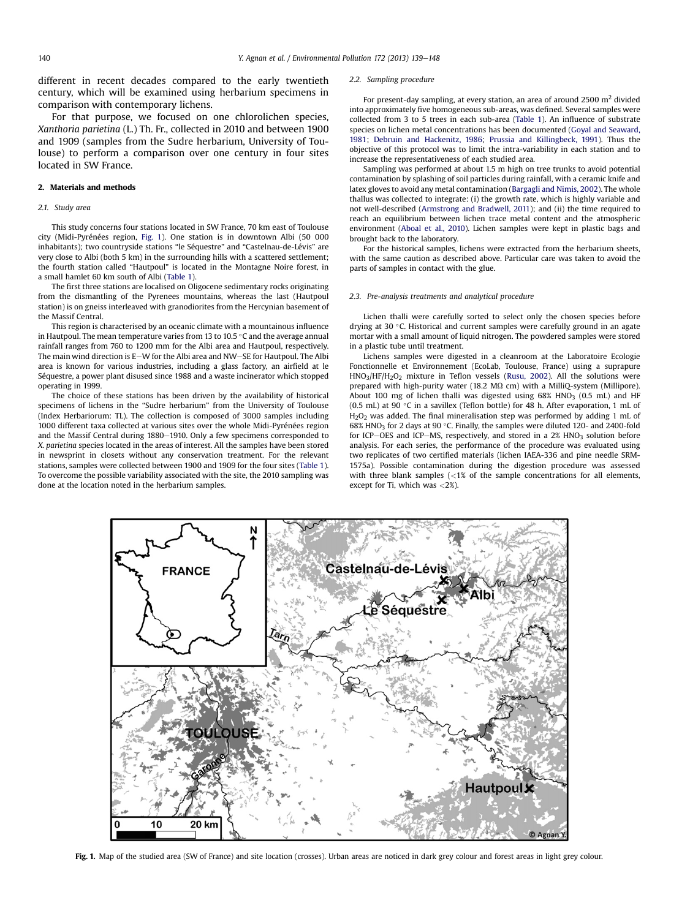different in recent decades compared to the early twentieth century, which will be examined using herbarium specimens in comparison with contemporary lichens.

For that purpose, we focused on one chlorolichen species, Xanthoria parietina (L.) Th. Fr., collected in 2010 and between 1900 and 1909 (samples from the Sudre herbarium, University of Toulouse) to perform a comparison over one century in four sites located in SW France.

# 2. Materials and methods

#### 2.1. Study area

This study concerns four stations located in SW France, 70 km east of Toulouse city (Midi-Pyrénées region, Fig. 1). One station is in downtown Albi (50 000 inhabitants); two countryside stations "le Séquestre" and "Castelnau-de-Lévis" are very close to Albi (both 5 km) in the surrounding hills with a scattered settlement; the fourth station called "Hautpoul" is located in the Montagne Noire forest, in a small hamlet 60 km south of Albi [\(Table 1\)](#page-2-0).

The first three stations are localised on Oligocene sedimentary rocks originating from the dismantling of the Pyrenees mountains, whereas the last (Hautpoul station) is on gneiss interleaved with granodiorites from the Hercynian basement of the Massif Central.

This region is characterised by an oceanic climate with a mountainous influence in Hautpoul. The mean temperature varies from 13 to 10.5  $\degree$ C and the average annual rainfall ranges from 760 to 1200 mm for the Albi area and Hautpoul, respectively. The main wind direction is E-W for the Albi area and NW-SE for Hautpoul. The Albi area is known for various industries, including a glass factory, an airfield at le Séquestre, a power plant disused since 1988 and a waste incinerator which stopped operating in 1999.

The choice of these stations has been driven by the availability of historical specimens of lichens in the "Sudre herbarium" from the University of Toulouse (Index Herbariorum: TL). The collection is composed of 3000 samples including 1000 different taxa collected at various sites over the whole Midi-Pyrénées region and the Massif Central during  $1880-1910$ . Only a few specimens corresponded to X. parietina species located in the areas of interest. All the samples have been stored in newsprint in closets without any conservation treatment. For the relevant stations, samples were collected between 1900 and 1909 for the four sites ([Table 1\)](#page-2-0). To overcome the possible variability associated with the site, the 2010 sampling was done at the location noted in the herbarium samples.

#### 2.2. Sampling procedure

For present-day sampling, at every station, an area of around 2500  $m<sup>2</sup>$  divided into approximately five homogeneous sub-areas, was defined. Several samples were collected from 3 to 5 trees in each sub-area [\(Table 1\)](#page-2-0). An influence of substrate species on lichen metal concentrations has been documented [\(Goyal and Seaward,](#page-8-0) [1981;](#page-8-0) [Debruin and Hackenitz, 1986](#page-8-0); [Prussia and Killingbeck, 1991\)](#page-8-0). Thus the objective of this protocol was to limit the intra-variability in each station and to increase the representativeness of each studied area.

Sampling was performed at about 1.5 m high on tree trunks to avoid potential contamination by splashing of soil particles during rainfall, with a ceramic knife and latex gloves to avoid any metal contamination ([Bargagli and Nimis, 2002](#page-8-0)). The whole thallus was collected to integrate: (i) the growth rate, which is highly variable and not well-described [\(Armstrong and Bradwell, 2011\)](#page-8-0); and (ii) the time required to reach an equilibrium between lichen trace metal content and the atmospheric environment [\(Aboal et al., 2010](#page-8-0)). Lichen samples were kept in plastic bags and brought back to the laboratory.

For the historical samples, lichens were extracted from the herbarium sheets, with the same caution as described above. Particular care was taken to avoid the parts of samples in contact with the glue.

#### 2.3. Pre-analysis treatments and analytical procedure

Lichen thalli were carefully sorted to select only the chosen species before drying at 30 °C. Historical and current samples were carefully ground in an agate mortar with a small amount of liquid nitrogen. The powdered samples were stored in a plastic tube until treatment.

Lichens samples were digested in a cleanroom at the Laboratoire Ecologie Fonctionnelle et Environnement (EcoLab, Toulouse, France) using a suprapure HNO3/HF/H2O2 mixture in Teflon vessels ([Rusu, 2002](#page-9-0)). All the solutions were prepared with high-purity water (18.2 M $\Omega$  cm) with a MilliQ-system (Millipore). About 100 mg of lichen thalli was digested using  $68\%$  HNO<sub>3</sub> (0.5 mL) and HF (0.5 mL) at 90 $\degree$ C in a savillex (Teflon bottle) for 48 h. After evaporation, 1 mL of H<sub>2</sub>O<sub>2</sub> was added. The final mineralisation step was performed by adding 1 mL of  $68\%$  HNO<sub>3</sub> for 2 days at 90 °C. Finally, the samples were diluted 120- and 2400-fold for ICP-OES and ICP-MS, respectively, and stored in a  $2\%$  HNO<sub>3</sub> solution before analysis. For each series, the performance of the procedure was evaluated using two replicates of two certified materials (lichen IAEA-336 and pine needle SRM-1575a). Possible contamination during the digestion procedure was assessed with three blank samples  $\left($  < 1% of the sample concentrations for all elements, except for Ti, which was <2%).



Fig. 1. Map of the studied area (SW of France) and site location (crosses). Urban areas are noticed in dark grey colour and forest areas in light grey colour.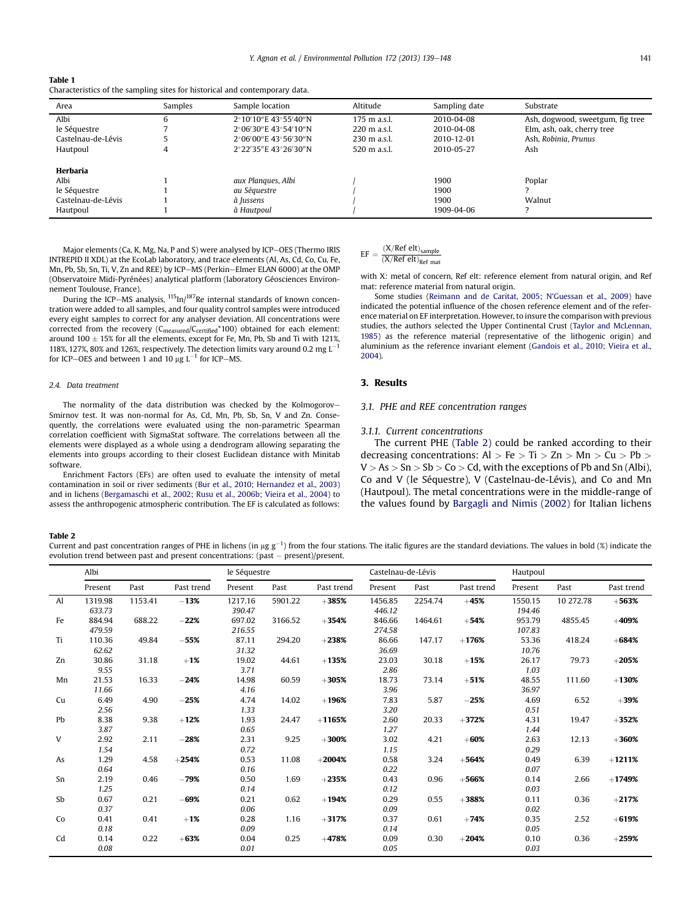<span id="page-2-0"></span>

| Table 1                                                                     |
|-----------------------------------------------------------------------------|
| Characteristics of the sampling sites for historical and contemporary data. |

| Area               | Samples | Sample location                 | Altitude               | Sampling date | Substrate                        |
|--------------------|---------|---------------------------------|------------------------|---------------|----------------------------------|
| Albi               | 6       | $2°10'10''$ E 43°55′40″N        | $175 \text{ m a.s.}$   | 2010-04-08    | Ash, dogwood, sweetgum, fig tree |
| le Séquestre       |         | $2^{\circ}06'30''$ E 43°54'10"N | $220 \text{ m}$ a.s.l. | 2010-04-08    | Elm, ash, oak, cherry tree       |
| Castelnau-de-Lévis |         | $2^{\circ}06'00''$ E 43°56′30″N | $230 \text{ m a.s.}$   | 2010-12-01    | Ash. Robinia. Prunus             |
| Hautpoul           | 4       | 2°22′35″E 43°26′30″N            | 520 m a.s.l.           | 2010-05-27    | Ash                              |
|                    |         |                                 |                        |               |                                  |
| Herbaria           |         |                                 |                        |               |                                  |
| Albi               |         | aux Plangues, Albi              |                        | 1900          | Poplar                           |
| le Séquestre       |         | au Séguestre                    |                        | 1900          |                                  |
| Castelnau-de-Lévis |         | à Jussens                       |                        | 1900          | Walnut                           |
| Hautpoul           |         | à Hautpoul                      |                        | 1909-04-06    |                                  |

Major elements (Ca, K, Mg, Na, P and S) were analysed by ICP-OES (Thermo IRIS INTREPID II XDL) at the EcoLab laboratory, and trace elements (Al, As, Cd, Co, Cu, Fe, Mn, Pb, Sb, Sn, Ti, V, Zn and REE) by ICP-MS (Perkin-Elmer ELAN 6000) at the OMP (Observatoire Midi-Pyrénées) analytical platform (laboratory Géosciences Environnement Toulouse, France).

During the ICP–MS analysis, <sup>115</sup>In/<sup>187</sup>Re internal standards of known concentration were added to all samples, and four quality control samples were introduced every eight samples to correct for any analyser deviation. All concentrations were corrected from the recovery (C<sub>measured</sub>/C<sub>certified</sub>\*100) obtained for each element: around 100  $\pm$  15% for all the elements, except for Fe, Mn, Pb, Sb and Ti with 121%, 118%, 127%, 80% and 126%, respectively. The detection limits vary around 0.2 mg  $L^{-1}$ for ICP-OES and between 1 and 10  $\mu$ g L<sup>-1</sup> for ICP-MS.

#### 2.4. Data treatment

The normality of the data distribution was checked by the Kolmogorov-Smirnov test. It was non-normal for As, Cd, Mn, Pb, Sb, Sn, V and Zn. Consequently, the correlations were evaluated using the non-parametric Spearman correlation coefficient with SigmaStat software. The correlations between all the elements were displayed as a whole using a dendrogram allowing separating the elements into groups according to their closest Euclidean distance with Minitab software.

Enrichment Factors (EFs) are often used to evaluate the intensity of metal contamination in soil or river sediments ([Bur et al., 2010](#page-8-0); [Hernandez et al., 2003](#page-8-0)) and in lichens [\(Bergamaschi et al., 2002;](#page-8-0) [Rusu et al., 2006b](#page-9-0); [Vieira et al., 2004\)](#page-9-0) to assess the anthropogenic atmospheric contribution. The EF is calculated as follows:

# $EF = \frac{(X/Ref \text{ elt})_{sample}}{(X/Ref \text{ elt})_{Ref \text{ mat}}}$

with X: metal of concern, Ref elt: reference element from natural origin, and Ref mat: reference material from natural origin.

Some studies ([Reimann and de Caritat, 2005](#page-9-0); N'[Guessan et al., 2009\)](#page-8-0) have indicated the potential influence of the chosen reference element and of the reference material on EF interpretation. However, to insure the comparison with previous studies, the authors selected the Upper Continental Crust ([Taylor and McLennan,](#page-9-0) [1985](#page-9-0)) as the reference material (representative of the lithogenic origin) and aluminium as the reference invariant element [\(Gandois et al., 2010](#page-8-0); [Vieira et al.,](#page-9-0) [2004\)](#page-9-0).

# 3. Results

# 3.1. PHE and REE concentration ranges

#### 3.1.1. Current concentrations

The current PHE (Table 2) could be ranked according to their decreasing concentrations: Al > Fe > Ti > Zn > Mn > Cu > Pb >  $V > As > Sn > Sb > Co > Cd$ , with the exceptions of Pb and Sn (Albi), Co and V (le Séquestre), V (Castelnau-de-Lévis), and Co and Mn (Hautpoul). The metal concentrations were in the middle-range of the values found by [Bargagli and Nimis \(2002\)](#page-8-0) for Italian lichens

#### Table 2

Current and past concentration ranges of PHE in lichens (in µg g<sup>-1</sup>) from the four stations. The italic figures are the standard deviations. The values in bold (%) indicate the evolution trend between past and present concentrations: past  $-$  present)/present.

|               | Albi              |         |            | le Séquestre      |         |            | Castelnau-de-Lévis |         |            | Hautpoul          |           |            |  |
|---------------|-------------------|---------|------------|-------------------|---------|------------|--------------------|---------|------------|-------------------|-----------|------------|--|
|               | Present           | Past    | Past trend | Present           | Past    | Past trend | Present            | Past    | Past trend | Present           | Past      | Past trend |  |
| $\mathsf{Al}$ | 1319.98<br>633.73 | 1153.41 | $-13%$     | 1217.16<br>390.47 | 5901.22 | $+385%$    | 1456.85<br>446.12  | 2254.74 | $+45%$     | 1550.15<br>194.46 | 10 272.78 | $+563%$    |  |
| Fe            | 884.94<br>479.59  | 688.22  | $-22%$     | 697.02<br>216.55  | 3166.52 | $+354%$    | 846.66<br>274.58   | 1464.61 | $+54%$     | 953.79<br>107.83  | 4855.45   | $+409%$    |  |
| Ti            | 110.36<br>62.62   | 49.84   | $-55%$     | 87.11<br>31.32    | 294.20  | $+238%$    | 86.66<br>36.69     | 147.17  | $+176%$    | 53.36<br>10.76    | 418.24    | $+684%$    |  |
| Zn            | 30.86<br>9.55     | 31.18   | $+1%$      | 19.02<br>3.71     | 44.61   | $+135%$    | 23.03<br>2.86      | 30.18   | $+15%$     | 26.17<br>1.03     | 79.73     | $+205%$    |  |
| Mn            | 21.53<br>11.66    | 16.33   | $-24%$     | 14.98<br>4.16     | 60.59   | $+305%$    | 18.73<br>3.96      | 73.14   | $+51%$     | 48.55<br>36.97    | 111.60    | $+130%$    |  |
| Cu            | 6.49<br>2.56      | 4.90    | $-25%$     | 4.74<br>1.33      | 14.02   | $+196%$    | 7.83<br>3.20       | 5.87    | $-25%$     | 4.69<br>0.51      | 6.52      | $+39%$     |  |
| Pb            | 8.38<br>3.87      | 9.38    | $+12%$     | 1.93<br>0.65      | 24.47   | $+1165%$   | 2.60<br>1.27       | 20.33   | $+372%$    | 4.31<br>1.44      | 19.47     | $+352%$    |  |
| V             | 2.92<br>1.54      | 2.11    | $-28%$     | 2.31<br>0.72      | 9.25    | $+300%$    | 3.02<br>1.15       | 4.21    | $+60%$     | 2.63<br>0.29      | 12.13     | $+360%$    |  |
| As            | 1.29<br>0.64      | 4.58    | $+254%$    | 0.53<br>0.16      | 11.08   | $+2004%$   | 0.58<br>0.22       | 3.24    | $+564%$    | 0.49<br>0.07      | 6.39      | $+1211%$   |  |
| Sn            | 2.19<br>1.25      | 0.46    | $-79%$     | 0.50<br>0.14      | 1.69    | $+235%$    | 0.43<br>0.12       | 0.96    | $+566%$    | 0.14<br>0.03      | 2.66      | $+1749%$   |  |
| Sb            | 0.67<br>0.37      | 0.21    | $-69%$     | 0.21<br>0.06      | 0.62    | $+194%$    | 0.29<br>0.09       | 0.55    | $+388%$    | 0.11<br>0.02      | 0.36      | $+217%$    |  |
| Co            | 0.41<br>0.18      | 0.41    | $+1%$      | 0.28<br>0.09      | 1.16    | $+317%$    | 0.37<br>0.14       | 0.61    | $+74%$     | 0.35<br>0.05      | 2.52      | $+619%$    |  |
| Cd            | 0.14<br>0.08      | 0.22    | $+63%$     | 0.04<br>0.01      | 0.25    | $+478%$    | 0.09<br>0.05       | 0.30    | $+204%$    | 0.10<br>0.03      | 0.36      | $+259%$    |  |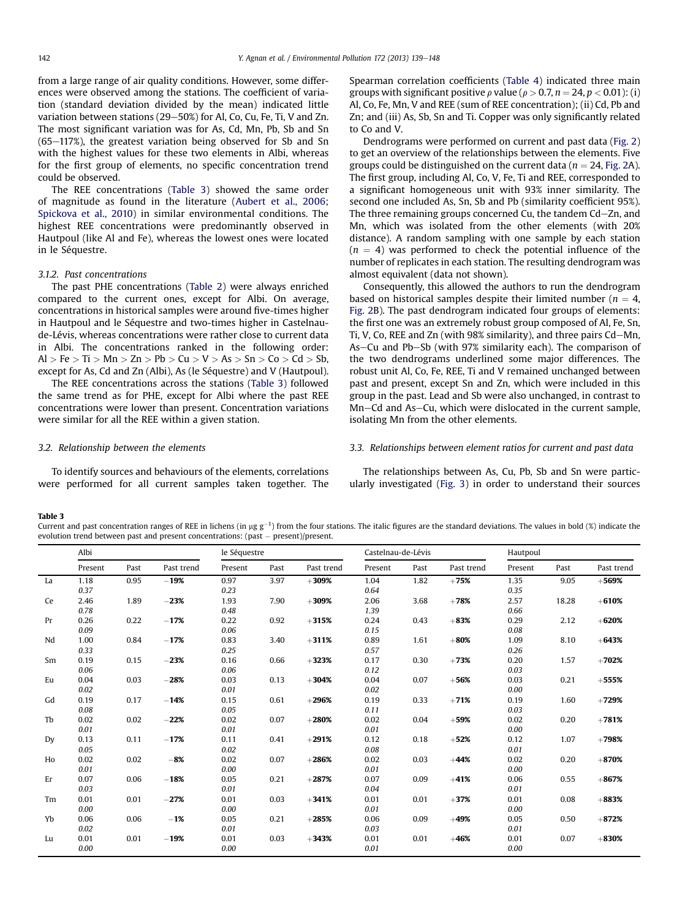from a large range of air quality conditions. However, some differences were observed among the stations. The coefficient of variation (standard deviation divided by the mean) indicated little variation between stations (29-50%) for Al, Co, Cu, Fe, Ti, V and Zn. The most significant variation was for As, Cd, Mn, Pb, Sb and Sn  $(65-117%)$ , the greatest variation being observed for Sb and Sn with the highest values for these two elements in Albi, whereas for the first group of elements, no specific concentration trend could be observed.

The REE concentrations (Table 3) showed the same order of magnitude as found in the literature [\(Aubert et al., 2006](#page-8-0); [Spickova et al., 2010\)](#page-9-0) in similar environmental conditions. The highest REE concentrations were predominantly observed in Hautpoul (like Al and Fe), whereas the lowest ones were located in le Séquestre.

#### 3.1.2. Past concentrations

The past PHE concentrations ([Table 2\)](#page-2-0) were always enriched compared to the current ones, except for Albi. On average, concentrations in historical samples were around five-times higher in Hautpoul and le Séquestre and two-times higher in Castelnaude-Lévis, whereas concentrations were rather close to current data in Albi. The concentrations ranked in the following order:  $Al > Fe > Ti > Mn > Zn > Pb > Cu > V > As > Sn > Co > Cd > Sh,$ except for As, Cd and Zn (Albi), As (le Séquestre) and V (Hautpoul).

The REE concentrations across the stations (Table 3) followed the same trend as for PHE, except for Albi where the past REE concentrations were lower than present. Concentration variations were similar for all the REE within a given station.

Spearman correlation coefficients [\(Table 4](#page-4-0)) indicated three main groups with significant positive  $\rho$  value ( $\rho > 0.7$ ,  $n = 24$ ,  $p < 0.01$ ); (i) Al, Co, Fe, Mn, V and REE (sum of REE concentration); (ii) Cd, Pb and Zn; and (iii) As, Sb, Sn and Ti. Copper was only significantly related to Co and V.

Dendrograms were performed on current and past data ([Fig. 2\)](#page-4-0) to get an overview of the relationships between the elements. Five groups could be distinguished on the current data ( $n = 24$ , [Fig. 2](#page-4-0)A). The first group, including Al, Co, V, Fe, Ti and REE, corresponded to a significant homogeneous unit with 93% inner similarity. The second one included As, Sn, Sb and Pb (similarity coefficient 95%). The three remaining groups concerned Cu, the tandem Cd-Zn, and Mn, which was isolated from the other elements (with 20% distance). A random sampling with one sample by each station  $(n = 4)$  was performed to check the potential influence of the number of replicates in each station. The resulting dendrogram was almost equivalent (data not shown).

Consequently, this allowed the authors to run the dendrogram based on historical samples despite their limited number ( $n = 4$ , [Fig. 2](#page-4-0)B). The past dendrogram indicated four groups of elements: the first one was an extremely robust group composed of Al, Fe, Sn, Ti, V, Co, REE and Zn (with  $98\%$  similarity), and three pairs Cd-Mn, As-Cu and Pb-Sb (with 97% similarity each). The comparison of the two dendrograms underlined some major differences. The robust unit Al, Co, Fe, REE, Ti and V remained unchanged between past and present, except Sn and Zn, which were included in this group in the past. Lead and Sb were also unchanged, in contrast to Mn–Cd and As–Cu, which were dislocated in the current sample, isolating Mn from the other elements.

# 3.2. Relationship between the elements

To identify sources and behaviours of the elements, correlations were performed for all current samples taken together. The

# 3.3. Relationships between element ratios for current and past data

The relationships between As, Cu, Pb, Sb and Sn were particularly investigated [\(Fig. 3\)](#page-5-0) in order to understand their sources

#### Table 3

Current and past concentration ranges of REE in lichens (in µg g $^{-1}$ ) from the four stations. The italic figures are the standard deviations. The values in bold (%) indicate the evolution trend between past and present concentrations: (past - present)/present.

|    | Albi    |      |            | le Séquestre |      |            | Castelnau-de-Lévis |      |            | Hautpoul |       |            |
|----|---------|------|------------|--------------|------|------------|--------------------|------|------------|----------|-------|------------|
|    | Present | Past | Past trend | Present      | Past | Past trend | Present            | Past | Past trend | Present  | Past  | Past trend |
| La | 1.18    | 0.95 | $-19%$     | 0.97         | 3.97 | $+309%$    | 1.04               | 1.82 | $+75%$     | 1.35     | 9.05  | $+569%$    |
|    | 0.37    |      |            | 0.23         |      |            | 0.64               |      |            | 0.35     |       |            |
| Ce | 2.46    | 1.89 | $-23%$     | 1.93         | 7.90 | $+309%$    | 2.06               | 3.68 | $+78%$     | 2.57     | 18.28 | $+610%$    |
|    | 0.78    |      |            | 0.48         |      |            | 1.39               |      |            | 0.66     |       |            |
| Pr | 0.26    | 0.22 | $-17%$     | 0.22         | 0.92 | $+315%$    | 0.24               | 0.43 | $+83%$     | 0.29     | 2.12  | $+620%$    |
|    | 0.09    |      |            | 0.06         |      |            | 0.15               |      |            | 0.08     |       |            |
| Nd | 1.00    | 0.84 | $-17%$     | 0.83         | 3.40 | $+311%$    | 0.89               | 1.61 | $+80%$     | 1.09     | 8.10  | $+643%$    |
|    | 0.33    |      |            | 0.25         |      |            | 0.57               |      |            | 0.26     |       |            |
| Sm | 0.19    | 0.15 | $-23%$     | 0.16         | 0.66 | $+323%$    | 0.17               | 0.30 | $+73%$     | 0.20     | 1.57  | $+702%$    |
|    | 0.06    |      |            | 0.06         |      |            | 0.12               |      |            | 0.03     |       |            |
| Eu | 0.04    | 0.03 | $-28%$     | 0.03         | 0.13 | $+304%$    | 0.04               | 0.07 | $+56%$     | 0.03     | 0.21  | $+555%$    |
|    | 0.02    |      |            | 0.01         |      |            | 0.02               |      |            | 0.00     |       |            |
| Gd | 0.19    | 0.17 | $-14%$     | 0.15         | 0.61 | $+296%$    | 0.19               | 0.33 | $+71%$     | 0.19     | 1.60  | $+729%$    |
|    | 0.08    |      |            | 0.05         |      |            | 0.11               |      |            | 0.03     |       |            |
| Tb | 0.02    | 0.02 | $-22%$     | 0.02         | 0.07 | $+280%$    | 0.02               | 0.04 | $+59%$     | 0.02     | 0.20  | $+781%$    |
|    | 0.01    |      |            | 0.01         |      |            | 0.01               |      |            | 0.00     |       |            |
| Dy | 0.13    | 0.11 | $-17%$     | 0.11         | 0.41 | $+291%$    | 0.12               | 0.18 | $+52%$     | 0.12     | 1.07  | $+798%$    |
|    | 0.05    |      |            | 0.02         |      |            | 0.08               |      |            | 0.01     |       |            |
| Ho | 0.02    | 0.02 | $-8%$      | 0.02         | 0.07 | $+286%$    | 0.02               | 0.03 | $+44%$     | 0.02     | 0.20  | $+870%$    |
|    | 0.01    |      |            | 0.00         |      |            | 0.01               |      |            | 0.00     |       |            |
| Er | 0.07    | 0.06 | $-18%$     | 0.05         | 0.21 | $+287%$    | 0.07               | 0.09 | $+41%$     | 0.06     | 0.55  | $+867%$    |
|    | 0.03    |      |            | 0.01         |      |            | 0.04               |      |            | 0.01     |       |            |
| Tm | 0.01    | 0.01 | $-27%$     | 0.01         | 0.03 | $+341%$    | 0.01               | 0.01 | $+37%$     | 0.01     | 0.08  | $+883%$    |
|    | 0.00    |      |            | 0.00         |      |            | 0.01               |      |            | 0.00     |       |            |
| Yb | 0.06    | 0.06 | $-1%$      | 0.05         | 0.21 | $+285%$    | 0.06               | 0.09 | $+49%$     | 0.05     | 0.50  | $+872%$    |
|    | 0.02    |      |            | 0.01         |      |            | 0.03               |      |            | 0.01     |       |            |
| Lu | 0.01    | 0.01 | $-19%$     | 0.01         | 0.03 | $+343%$    | 0.01               | 0.01 | $+46%$     | 0.01     | 0.07  | $+830%$    |
|    | 0.00    |      |            | 0.00         |      |            | 0.01               |      |            | 0.00     |       |            |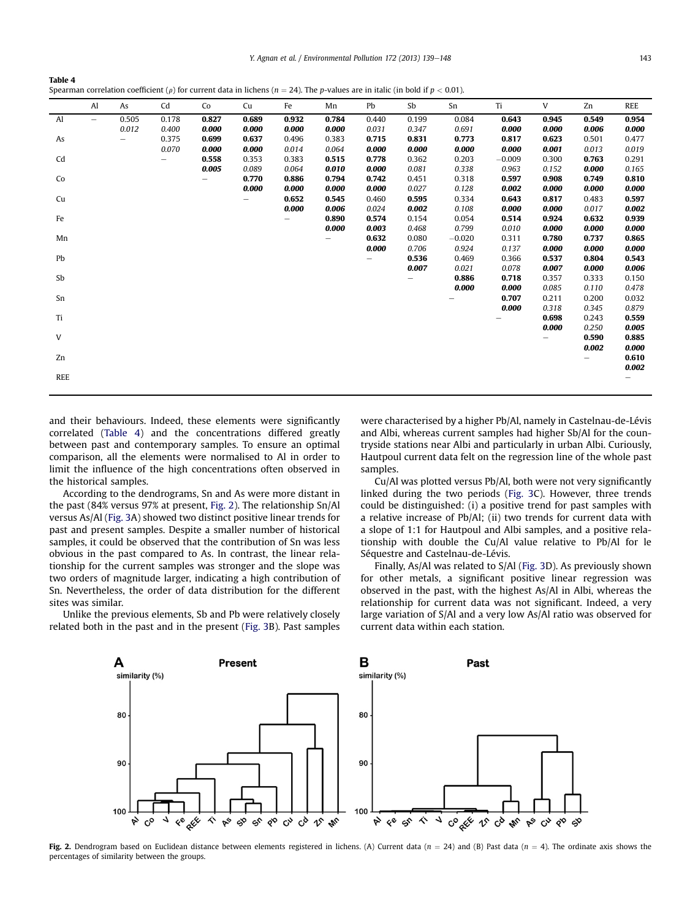Y. Agnan et al. / Environmental Pollution 172 (2013) 139-148 143

<span id="page-4-0"></span>

| Table 4                                                                                                                                    |  |
|--------------------------------------------------------------------------------------------------------------------------------------------|--|
| Spearman correlation coefficient ( $\rho$ ) for current data in lichens ( $n = 24$ ). The p-values are in italic (in bold if $p < 0.01$ ). |  |

|            | Al                       | As    | Cd    | Co    | Cu    | Fe    | Mn    | Pb    | Sb    | Sn       | Ti       | V     | Zn    | <b>REE</b> |
|------------|--------------------------|-------|-------|-------|-------|-------|-------|-------|-------|----------|----------|-------|-------|------------|
| Al         | $\overline{\phantom{m}}$ | 0.505 | 0.178 | 0.827 | 0.689 | 0.932 | 0.784 | 0.440 | 0.199 | 0.084    | 0.643    | 0.945 | 0.549 | 0.954      |
|            |                          | 0.012 | 0.400 | 0.000 | 0.000 | 0.000 | 0.000 | 0.031 | 0.347 | 0.691    | 0.000    | 0.000 | 0.006 | 0.000      |
| As         |                          | -     | 0.375 | 0.699 | 0.637 | 0.496 | 0.383 | 0.715 | 0.831 | 0.773    | 0.817    | 0.623 | 0.501 | 0.477      |
|            |                          |       | 0.070 | 0.000 | 0.000 | 0.014 | 0.064 | 0.000 | 0.000 | 0.000    | 0.000    | 0.001 | 0.013 | 0.019      |
| Cd         |                          |       |       | 0.558 | 0.353 | 0.383 | 0.515 | 0.778 | 0.362 | 0.203    | $-0.009$ | 0.300 | 0.763 | 0.291      |
|            |                          |       |       | 0.005 | 0.089 | 0.064 | 0.010 | 0.000 | 0.081 | 0.338    | 0.963    | 0.152 | 0.000 | 0.165      |
| Co         |                          |       |       |       | 0.770 | 0.886 | 0.794 | 0.742 | 0.451 | 0.318    | 0.597    | 0.908 | 0.749 | 0.810      |
|            |                          |       |       |       | 0.000 | 0.000 | 0.000 | 0.000 | 0.027 | 0.128    | 0.002    | 0.000 | 0.000 | 0.000      |
| Cu         |                          |       |       |       |       | 0.652 | 0.545 | 0.460 | 0.595 | 0.334    | 0.643    | 0.817 | 0.483 | 0.597      |
|            |                          |       |       |       |       | 0.000 | 0.006 | 0.024 | 0.002 | 0.108    | 0.000    | 0.000 | 0.017 | 0.002      |
| Fe         |                          |       |       |       |       |       | 0.890 | 0.574 | 0.154 | 0.054    | 0.514    | 0.924 | 0.632 | 0.939      |
|            |                          |       |       |       |       |       | 0.000 | 0.003 | 0.468 | 0.799    | 0.010    | 0.000 | 0.000 | 0.000      |
| Mn         |                          |       |       |       |       |       |       | 0.632 | 0.080 | $-0.020$ | 0.311    | 0.780 | 0.737 | 0.865      |
|            |                          |       |       |       |       |       |       | 0.000 | 0.706 | 0.924    | 0.137    | 0.000 | 0.000 | 0.000      |
| Pb         |                          |       |       |       |       |       |       |       | 0.536 | 0.469    | 0.366    | 0.537 | 0.804 | 0.543      |
|            |                          |       |       |       |       |       |       |       | 0.007 | 0.021    | 0.078    | 0.007 | 0.000 | 0.006      |
| Sb         |                          |       |       |       |       |       |       |       |       | 0.886    | 0.718    | 0.357 | 0.333 | 0.150      |
|            |                          |       |       |       |       |       |       |       |       | 0.000    | 0.000    | 0.085 | 0.110 | 0.478      |
| Sn         |                          |       |       |       |       |       |       |       |       |          | 0.707    | 0.211 | 0.200 | 0.032      |
|            |                          |       |       |       |       |       |       |       |       |          | 0.000    | 0.318 | 0.345 | 0.879      |
| Ti         |                          |       |       |       |       |       |       |       |       |          |          | 0.698 | 0.243 | 0.559      |
|            |                          |       |       |       |       |       |       |       |       |          |          | 0.000 | 0.250 | 0.005      |
| V          |                          |       |       |       |       |       |       |       |       |          |          |       | 0.590 | 0.885      |
|            |                          |       |       |       |       |       |       |       |       |          |          |       | 0.002 | 0.000      |
| Zn         |                          |       |       |       |       |       |       |       |       |          |          |       |       | 0.610      |
|            |                          |       |       |       |       |       |       |       |       |          |          |       |       | 0.002      |
| <b>REE</b> |                          |       |       |       |       |       |       |       |       |          |          |       |       |            |
|            |                          |       |       |       |       |       |       |       |       |          |          |       |       |            |

and their behaviours. Indeed, these elements were significantly correlated (Table 4) and the concentrations differed greatly between past and contemporary samples. To ensure an optimal comparison, all the elements were normalised to Al in order to limit the influence of the high concentrations often observed in the historical samples.

According to the dendrograms, Sn and As were more distant in the past (84% versus 97% at present, Fig. 2). The relationship Sn/Al versus As/Al [\(Fig. 3A](#page-5-0)) showed two distinct positive linear trends for past and present samples. Despite a smaller number of historical samples, it could be observed that the contribution of Sn was less obvious in the past compared to As. In contrast, the linear relationship for the current samples was stronger and the slope was two orders of magnitude larger, indicating a high contribution of Sn. Nevertheless, the order of data distribution for the different sites was similar.

Unlike the previous elements, Sb and Pb were relatively closely related both in the past and in the present ([Fig. 3](#page-5-0)B). Past samples were characterised by a higher Pb/Al, namely in Castelnau-de-Lévis and Albi, whereas current samples had higher Sb/Al for the countryside stations near Albi and particularly in urban Albi. Curiously, Hautpoul current data felt on the regression line of the whole past samples.

Cu/Al was plotted versus Pb/Al, both were not very significantly linked during the two periods ([Fig. 3C](#page-5-0)). However, three trends could be distinguished: (i) a positive trend for past samples with a relative increase of Pb/Al; (ii) two trends for current data with a slope of 1:1 for Hautpoul and Albi samples, and a positive relationship with double the Cu/Al value relative to Pb/Al for le Séquestre and Castelnau-de-Lévis.

Finally, As/Al was related to S/Al ([Fig. 3D](#page-5-0)). As previously shown for other metals, a significant positive linear regression was observed in the past, with the highest As/Al in Albi, whereas the relationship for current data was not significant. Indeed, a very large variation of S/Al and a very low As/Al ratio was observed for current data within each station.



Fig. 2. Dendrogram based on Euclidean distance between elements registered in lichens. (A) Current data (n = 24) and (B) Past data (n = 4). The ordinate axis shows the percentages of similarity between the groups.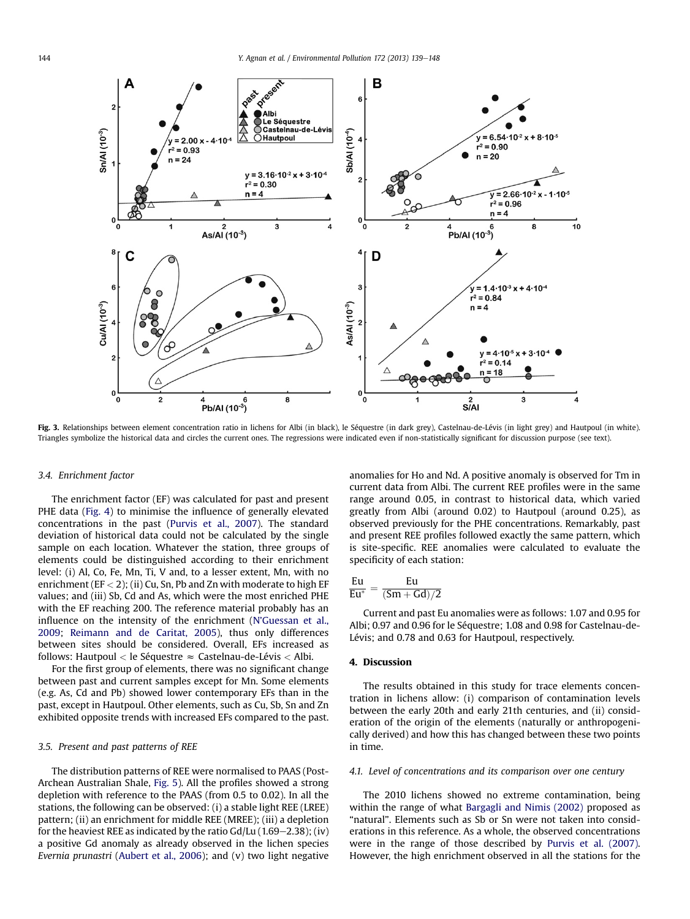<span id="page-5-0"></span>

Fig. 3. Relationships between element concentration ratio in lichens for Albi (in black), le Séquestre (in dark grey), Castelnau-de-Lévis (in light grey) and Hautpoul (in white). Triangles symbolize the historical data and circles the current ones. The regressions were indicated even if non-statistically significant for discussion purpose (see text).

# 3.4. Enrichment factor

The enrichment factor (EF) was calculated for past and present PHE data ([Fig. 4\)](#page-6-0) to minimise the influence of generally elevated concentrations in the past ([Purvis et al., 2007](#page-8-0)). The standard deviation of historical data could not be calculated by the single sample on each location. Whatever the station, three groups of elements could be distinguished according to their enrichment level: (i) Al, Co, Fe, Mn, Ti, V and, to a lesser extent, Mn, with no enrichment ( $EF < 2$ ); (ii) Cu, Sn, Pb and Zn with moderate to high EF values; and (iii) Sb, Cd and As, which were the most enriched PHE with the EF reaching 200. The reference material probably has an influence on the intensity of the enrichment (N'[Guessan et al.,](#page-8-0) [2009](#page-8-0); [Reimann and de Caritat, 2005](#page-9-0)), thus only differences between sites should be considered. Overall, EFs increased as follows: Hautpoul < le Séquestre  $\approx$  Castelnau-de-Lévis < Albi.

For the first group of elements, there was no significant change between past and current samples except for Mn. Some elements (e.g. As, Cd and Pb) showed lower contemporary EFs than in the past, except in Hautpoul. Other elements, such as Cu, Sb, Sn and Zn exhibited opposite trends with increased EFs compared to the past.

#### 3.5. Present and past patterns of REE

The distribution patterns of REE were normalised to PAAS (Post-Archean Australian Shale, [Fig. 5](#page-6-0)). All the profiles showed a strong depletion with reference to the PAAS (from 0.5 to 0.02). In all the stations, the following can be observed: (i) a stable light REE (LREE) pattern; (ii) an enrichment for middle REE (MREE); (iii) a depletion for the heaviest REE as indicated by the ratio  $Gd/Lu$  (1.69–2.38); (iv) a positive Gd anomaly as already observed in the lichen species Evernia prunastri ([Aubert et al., 2006](#page-8-0)); and (v) two light negative

anomalies for Ho and Nd. A positive anomaly is observed for Tm in current data from Albi. The current REE profiles were in the same range around 0.05, in contrast to historical data, which varied greatly from Albi (around 0.02) to Hautpoul (around 0.25), as observed previously for the PHE concentrations. Remarkably, past and present REE profiles followed exactly the same pattern, which is site-specific. REE anomalies were calculated to evaluate the specificity of each station:

$$
\frac{Eu}{Eu^*}=\frac{Eu}{(Sm+Gd)/2}
$$

Current and past Eu anomalies were as follows: 1.07 and 0.95 for Albi; 0.97 and 0.96 for le Séquestre; 1.08 and 0.98 for Castelnau-de-Lévis; and 0.78 and 0.63 for Hautpoul, respectively.

#### 4. Discussion

The results obtained in this study for trace elements concentration in lichens allow: (i) comparison of contamination levels between the early 20th and early 21th centuries, and (ii) consideration of the origin of the elements (naturally or anthropogenically derived) and how this has changed between these two points in time.

# 4.1. Level of concentrations and its comparison over one century

The 2010 lichens showed no extreme contamination, being within the range of what [Bargagli and Nimis \(2002\)](#page-8-0) proposed as "natural". Elements such as Sb or Sn were not taken into considerations in this reference. As a whole, the observed concentrations were in the range of those described by [Purvis et al. \(2007\).](#page-8-0) However, the high enrichment observed in all the stations for the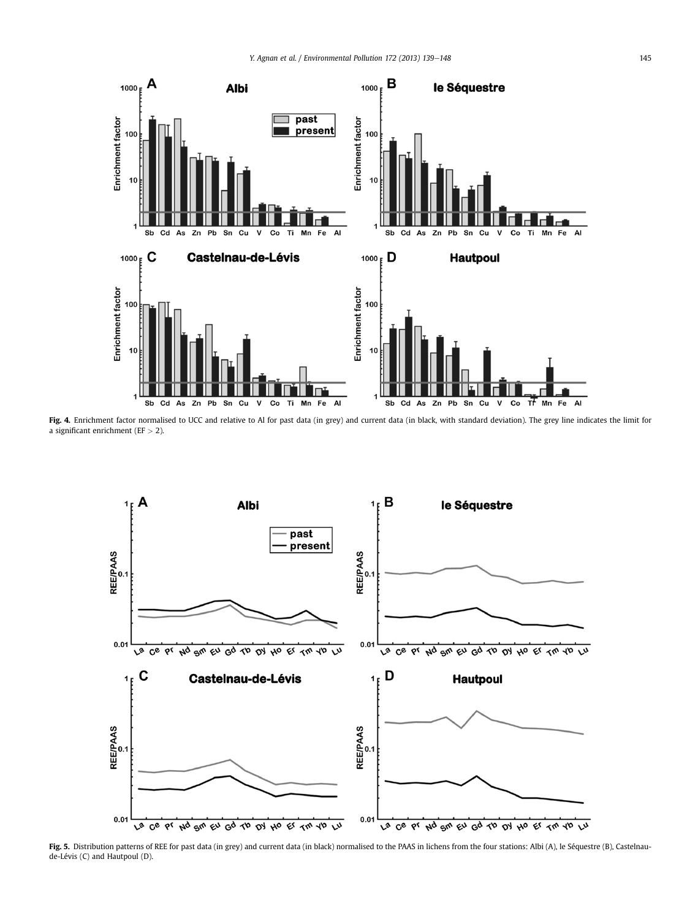<span id="page-6-0"></span>

Fig. 4. Enrichment factor normalised to UCC and relative to Al for past data (in grey) and current data (in black, with standard deviation). The grey line indicates the limit for a significant enrichment (EF > 2).



Fig. 5. Distribution patterns of REE for past data (in grey) and current data (in black) normalised to the PAAS in lichens from the four stations: Albi (A), le Séquestre (B), Castelnaude-Lévis (C) and Hautpoul (D).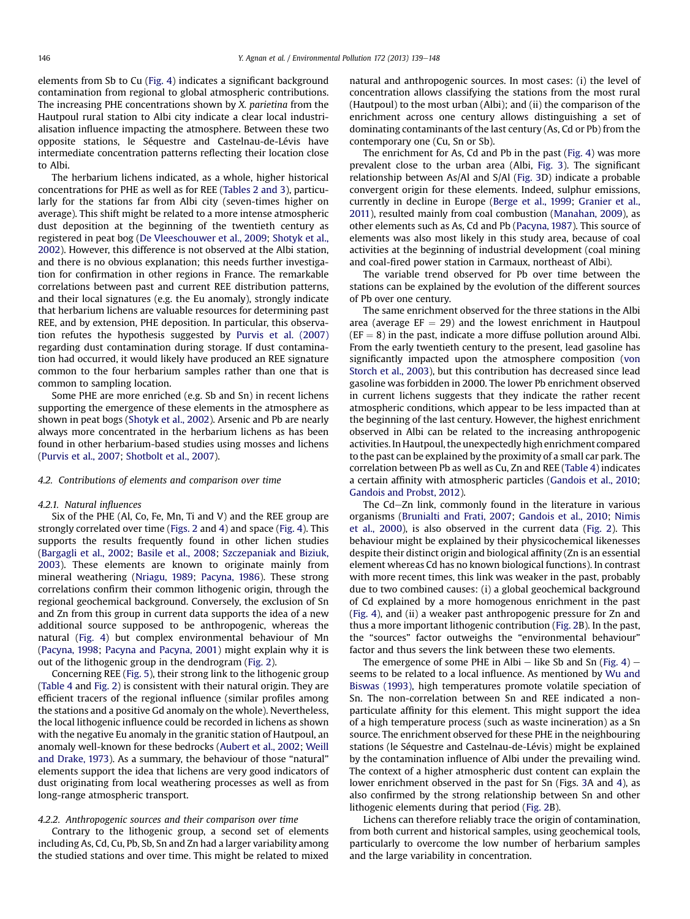elements from Sb to Cu [\(Fig. 4\)](#page-6-0) indicates a significant background contamination from regional to global atmospheric contributions. The increasing PHE concentrations shown by X. parietina from the Hautpoul rural station to Albi city indicate a clear local industrialisation influence impacting the atmosphere. Between these two opposite stations, le Séquestre and Castelnau-de-Lévis have intermediate concentration patterns reflecting their location close to Albi.

The herbarium lichens indicated, as a whole, higher historical concentrations for PHE as well as for REE ([Tables 2 and 3\)](#page-2-0), particularly for the stations far from Albi city (seven-times higher on average). This shift might be related to a more intense atmospheric dust deposition at the beginning of the twentieth century as registered in peat bog ([De Vleeschouwer et al., 2009](#page-8-0); [Shotyk et al.,](#page-9-0) [2002](#page-9-0)). However, this difference is not observed at the Albi station, and there is no obvious explanation; this needs further investigation for confirmation in other regions in France. The remarkable correlations between past and current REE distribution patterns, and their local signatures (e.g. the Eu anomaly), strongly indicate that herbarium lichens are valuable resources for determining past REE, and by extension, PHE deposition. In particular, this observation refutes the hypothesis suggested by [Purvis et al. \(2007\)](#page-8-0) regarding dust contamination during storage. If dust contamination had occurred, it would likely have produced an REE signature common to the four herbarium samples rather than one that is common to sampling location.

Some PHE are more enriched (e.g. Sb and Sn) in recent lichens supporting the emergence of these elements in the atmosphere as shown in peat bogs [\(Shotyk et al., 2002\)](#page-9-0). Arsenic and Pb are nearly always more concentrated in the herbarium lichens as has been found in other herbarium-based studies using mosses and lichens ([Purvis et al., 2007;](#page-8-0) [Shotbolt et al., 2007\)](#page-9-0).

#### 4.2. Contributions of elements and comparison over time

#### 4.2.1. Natural influences

Six of the PHE (Al, Co, Fe, Mn, Ti and V) and the REE group are strongly correlated over time [\(Figs. 2](#page-4-0) and [4\)](#page-6-0) and space [\(Fig. 4](#page-6-0)). This supports the results frequently found in other lichen studies ([Bargagli et al., 2002;](#page-8-0) [Basile et al., 2008](#page-8-0); [Szczepaniak and Biziuk,](#page-9-0) [2003](#page-9-0)). These elements are known to originate mainly from mineral weathering ([Nriagu, 1989;](#page-8-0) [Pacyna, 1986](#page-8-0)). These strong correlations confirm their common lithogenic origin, through the regional geochemical background. Conversely, the exclusion of Sn and Zn from this group in current data supports the idea of a new additional source supposed to be anthropogenic, whereas the natural [\(Fig. 4](#page-6-0)) but complex environmental behaviour of Mn ([Pacyna, 1998](#page-8-0); [Pacyna and Pacyna, 2001\)](#page-8-0) might explain why it is out of the lithogenic group in the dendrogram [\(Fig. 2](#page-4-0)).

Concerning REE [\(Fig. 5\)](#page-6-0), their strong link to the lithogenic group ([Table 4](#page-4-0) and [Fig. 2](#page-4-0)) is consistent with their natural origin. They are efficient tracers of the regional influence (similar profiles among the stations and a positive Gd anomaly on the whole). Nevertheless, the local lithogenic influence could be recorded in lichens as shown with the negative Eu anomaly in the granitic station of Hautpoul, an anomaly well-known for these bedrocks ([Aubert et al., 2002](#page-8-0); [Weill](#page-9-0) [and Drake, 1973](#page-9-0)). As a summary, the behaviour of those "natural" elements support the idea that lichens are very good indicators of dust originating from local weathering processes as well as from long-range atmospheric transport.

# 4.2.2. Anthropogenic sources and their comparison over time

Contrary to the lithogenic group, a second set of elements including As, Cd, Cu, Pb, Sb, Sn and Zn had a larger variability among the studied stations and over time. This might be related to mixed natural and anthropogenic sources. In most cases: (i) the level of concentration allows classifying the stations from the most rural (Hautpoul) to the most urban (Albi); and (ii) the comparison of the enrichment across one century allows distinguishing a set of dominating contaminants of the last century (As, Cd or Pb) from the contemporary one (Cu, Sn or Sb).

The enrichment for As, Cd and Pb in the past [\(Fig. 4](#page-6-0)) was more prevalent close to the urban area (Albi, [Fig. 3](#page-5-0)). The significant relationship between As/Al and S/Al ([Fig. 3](#page-5-0)D) indicate a probable convergent origin for these elements. Indeed, sulphur emissions, currently in decline in Europe ([Berge et al., 1999](#page-8-0); [Granier et al.,](#page-8-0) [2011\)](#page-8-0), resulted mainly from coal combustion [\(Manahan, 2009](#page-8-0)), as other elements such as As, Cd and Pb ([Pacyna, 1987](#page-8-0)). This source of elements was also most likely in this study area, because of coal activities at the beginning of industrial development (coal mining and coal-fired power station in Carmaux, northeast of Albi).

The variable trend observed for Pb over time between the stations can be explained by the evolution of the different sources of Pb over one century.

The same enrichment observed for the three stations in the Albi area (average  $EF = 29$ ) and the lowest enrichment in Hautpoul  $(EF = 8)$  in the past, indicate a more diffuse pollution around Albi. From the early twentieth century to the present, lead gasoline has significantly impacted upon the atmosphere composition ([von](#page-9-0) [Storch et al., 2003](#page-9-0)), but this contribution has decreased since lead gasoline was forbidden in 2000. The lower Pb enrichment observed in current lichens suggests that they indicate the rather recent atmospheric conditions, which appear to be less impacted than at the beginning of the last century. However, the highest enrichment observed in Albi can be related to the increasing anthropogenic activities. In Hautpoul, the unexpectedly high enrichment compared to the past can be explained by the proximity of a small car park. The correlation between Pb as well as Cu, Zn and REE ([Table 4](#page-4-0)) indicates a certain affinity with atmospheric particles [\(Gandois et al., 2010](#page-8-0); [Gandois and Probst, 2012](#page-8-0)).

The Cd-Zn link, commonly found in the literature in various organisms [\(Brunialti and Frati, 2007;](#page-8-0) [Gandois et al., 2010;](#page-8-0) [Nimis](#page-8-0) [et al., 2000](#page-8-0)), is also observed in the current data ([Fig. 2](#page-4-0)). This behaviour might be explained by their physicochemical likenesses despite their distinct origin and biological affinity (Zn is an essential element whereas Cd has no known biological functions). In contrast with more recent times, this link was weaker in the past, probably due to two combined causes: (i) a global geochemical background of Cd explained by a more homogenous enrichment in the past ([Fig. 4](#page-6-0)), and (ii) a weaker past anthropogenic pressure for Zn and thus a more important lithogenic contribution ([Fig. 2B](#page-4-0)). In the past, the "sources" factor outweighs the "environmental behaviour" factor and thus severs the link between these two elements.

The emergence of some PHE in Albi  $-$  like Sb and Sn ([Fig. 4](#page-6-0))  $$ seems to be related to a local influence. As mentioned by [Wu and](#page-9-0) [Biswas \(1993\),](#page-9-0) high temperatures promote volatile speciation of Sn. The non-correlation between Sn and REE indicated a nonparticulate affinity for this element. This might support the idea of a high temperature process (such as waste incineration) as a Sn source. The enrichment observed for these PHE in the neighbouring stations (le Séquestre and Castelnau-de-Lévis) might be explained by the contamination influence of Albi under the prevailing wind. The context of a higher atmospheric dust content can explain the lower enrichment observed in the past for Sn (Figs. [3](#page-5-0)A and [4](#page-6-0)), as also confirmed by the strong relationship between Sn and other lithogenic elements during that period [\(Fig. 2](#page-4-0)B).

Lichens can therefore reliably trace the origin of contamination, from both current and historical samples, using geochemical tools, particularly to overcome the low number of herbarium samples and the large variability in concentration.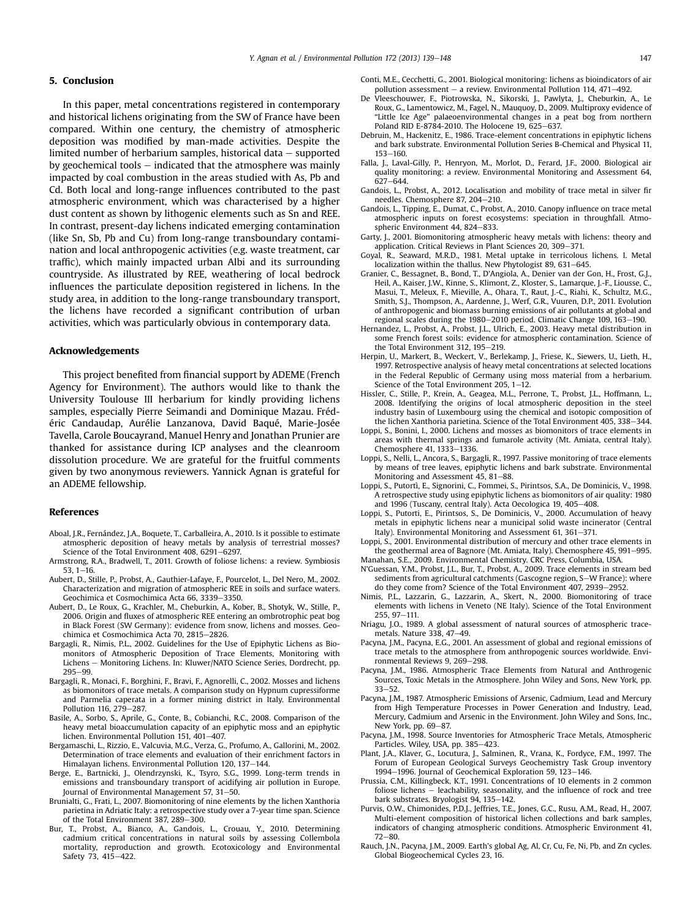## <span id="page-8-0"></span>5. Conclusion

In this paper, metal concentrations registered in contemporary and historical lichens originating from the SW of France have been compared. Within one century, the chemistry of atmospheric deposition was modified by man-made activities. Despite the limited number of herbarium samples, historical data  $-$  supported by geochemical tools  $-$  indicated that the atmosphere was mainly impacted by coal combustion in the areas studied with As, Pb and Cd. Both local and long-range influences contributed to the past atmospheric environment, which was characterised by a higher dust content as shown by lithogenic elements such as Sn and REE. In contrast, present-day lichens indicated emerging contamination (like Sn, Sb, Pb and Cu) from long-range transboundary contamination and local anthropogenic activities (e.g. waste treatment, car traffic), which mainly impacted urban Albi and its surrounding countryside. As illustrated by REE, weathering of local bedrock influences the particulate deposition registered in lichens. In the study area, in addition to the long-range transboundary transport, the lichens have recorded a significant contribution of urban activities, which was particularly obvious in contemporary data.

### Acknowledgements

This project benefited from financial support by ADEME (French Agency for Environment). The authors would like to thank the University Toulouse III herbarium for kindly providing lichens samples, especially Pierre Seimandi and Dominique Mazau. Frédéric Candaudap, Aurélie Lanzanova, David Baqué, Marie-Josée Tavella, Carole Boucayrand, Manuel Henry and Jonathan Prunier are thanked for assistance during ICP analyses and the cleanroom dissolution procedure. We are grateful for the fruitful comments given by two anonymous reviewers. Yannick Agnan is grateful for an ADEME fellowship.

### References

- Aboal, J.R., Fernández, J.A., Boquete, T., Carballeira, A., 2010. Is it possible to estimate atmospheric deposition of heavy metals by analysis of terrestrial mosses? Science of the Total Environment  $408$ ,  $6291-6297$ .
- Armstrong, R.A., Bradwell, T., 2011. Growth of foliose lichens: a review. Symbiosis  $53.1 - 16.$
- Aubert, D., Stille, P., Probst, A., Gauthier-Lafaye, F., Pourcelot, L., Del Nero, M., 2002. Characterization and migration of atmospheric REE in soils and surface waters. Geochimica et Cosmochimica Acta 66, 3339-3350.
- Aubert, D., Le Roux, G., Krachler, M., Cheburkin, A., Kober, B., Shotyk, W., Stille, P., 2006. Origin and fluxes of atmospheric REE entering an ombrotrophic peat bog in Black Forest (SW Germany): evidence from snow, lichens and mosses. Geochimica et Cosmochimica Acta 70, 2815-2826.
- Bargagli, R., Nimis, P.L., 2002. Guidelines for the Use of Epiphytic Lichens as Biomonitors of Atmospheric Deposition of Trace Elements, Monitoring with Lichens - Monitoring Lichens. In: Kluwer/NATO Science Series, Dordrecht, pp. 295-99
- Bargagli, R., Monaci, F., Borghini, F., Bravi, F., Agnorelli, C., 2002. Mosses and lichens as biomonitors of trace metals. A comparison study on Hypnum cupressiforme and Parmelia caperata in a former mining district in Italy. Environmental Pollution 116, 279-287.
- Basile, A., Sorbo, S., Aprile, G., Conte, B., Cobianchi, R.C., 2008. Comparison of the heavy metal bioaccumulation capacity of an epiphytic moss and an epiphytic lichen. Environmental Pollution 151, 401-407.
- Bergamaschi, L., Rizzio, E., Valcuvia, M.G., Verza, G., Profumo, A., Gallorini, M., 2002. Determination of trace elements and evaluation of their enrichment factors in Himalayan lichens. Environmental Pollution 120, 137-144.
- Berge, E., Bartnicki, J., Olendrzynski, K., Tsyro, S.G., 1999. Long-term trends in emissions and transboundary transport of acidifying air pollution in Europe. Journal of Environmental Management 57, 31-50.
- Brunialti, G., Frati, L., 2007. Biomonitoring of nine elements by the lichen Xanthoria parietina in Adriatic Italy: a retrospective study over a 7-year time span. Science of the Total Environment 387, 289-300.
- Bur, T., Probst, A., Bianco, A., Gandois, L., Crouau, Y., 2010. Determining cadmium critical concentrations in natural soils by assessing Collembola mortality, reproduction and growth. Ecotoxicology and Environmental Safety 73, 415-422.
- Conti, M.E., Cecchetti, G., 2001. Biological monitoring: lichens as bioindicators of air pollution assessment – a review. Environmental Pollution 114, 471–492.
- De Vleeschouwer, F., Piotrowska, N., Sikorski, J., Pawlyta, J., Cheburkin, A., Le Roux, G., Lamentowicz, M., Fagel, N., Mauquoy, D., 2009. Multiproxy evidence of "Little Ice Age" palaeoenvironmental changes in a peat bog from northern Poland RID E-8784-2010. The Holocene 19, 625-637.
- Debruin, M., Hackenitz, E., 1986. Trace-element concentrations in epiphytic lichens and bark substrate. Environmental Pollution Series B-Chemical and Physical 11, 153-160
- Falla, J., Laval-Gilly, P., Henryon, M., Morlot, D., Ferard, J.F., 2000. Biological air quality monitoring: a review. Environmental Monitoring and Assessment 64,  $627 - 644.$
- Gandois, L., Probst, A., 2012. Localisation and mobility of trace metal in silver fir needles. Chemosphere 87, 204-210.
- Gandois, L., Tipping, E., Dumat, C., Probst, A., 2010. Canopy influence on trace metal atmospheric inputs on forest ecosystems: speciation in throughfall. Atmospheric Environment  $44, 824 - 833$
- Garty, J., 2001. Biomonitoring atmospheric heavy metals with lichens: theory and application. Critical Reviews in Plant Sciences 20, 309-371.
- Goyal, R., Seaward, M.R.D., 1981. Metal uptake in terricolous lichens. I. Metal localization within the thallus. New Phytologist 89, 631–645.
- Granier, C., Bessagnet, B., Bond, T., D'Angiola, A., Denier van der Gon, H., Frost, G.J., Heil, A., Kaiser, J.W., Kinne, S., Klimont, Z., Kloster, S., Lamarque, J.-F., Liousse, C., Masui, T., Meleux, F., Mieville, A., Ohara, T., Raut, J.-C., Riahi, K., Schultz, M.G., Smith, S.J., Thompson, A., Aardenne, J., Werf, G.R., Vuuren, D.P., 2011. Evolution of anthropogenic and biomass burning emissions of air pollutants at global and regional scales during the 1980-2010 period. Climatic Change 109, 163-190.
- Hernandez, L., Probst, A., Probst, J.L., Ulrich, E., 2003. Heavy metal distribution in some French forest soils: evidence for atmospheric contamination. Science of the Total Environment 312, 195-219.
- Herpin, U., Markert, B., Weckert, V., Berlekamp, J., Friese, K., Siewers, U., Lieth, H., 1997. Retrospective analysis of heavy metal concentrations at selected locations in the Federal Republic of Germany using moss material from a herbarium. Science of the Total Environment 205, 1-12.
- Hissler, C., Stille, P., Krein, A., Geagea, M.L., Perrone, T., Probst, J.L., Hoffmann, L., 2008. Identifying the origins of local atmospheric deposition in the steel industry basin of Luxembourg using the chemical and isotopic composition of the lichen Xanthoria parietina. Science of the Total Environment 405, 338-344.
- Loppi, S., Bonini, I., 2000. Lichens and mosses as biomonitors of trace elements in areas with thermal springs and fumarole activity (Mt. Amiata, central Italy). Chemosphere 41, 1333-1336.
- Loppi, S., Nelli, L., Ancora, S., Bargagli, R., 1997. Passive monitoring of trace elements by means of tree leaves, epiphytic lichens and bark substrate. Environmental Monitoring and Assessment 45, 81-88.
- Loppi, S., Putortì, E., Signorini, C., Fommei, S., Pirintsos, S.A., De Dominicis, V., 1998. A retrospective study using epiphytic lichens as biomonitors of air quality: 1980 and 1996 (Tuscany, central Italy). Acta Oecologica 19, 405-408.
- Loppi, S., Putorti, E., Pirintsos, S., De Dominicis, V., 2000. Accumulation of heavy metals in epiphytic lichens near a municipal solid waste incinerator (Central Italy). Environmental Monitoring and Assessment 61, 361-371.
- Loppi, S., 2001. Environmental distribution of mercury and other trace elements in the geothermal area of Bagnore (Mt. Amiata, Italy). Chemosphere 45, 991-995. Manahan, S.E., 2009. Environmental Chemistry. CRC Press, Columbia, USA.
- N'Guessan, Y.M., Probst, J.L., Bur, T., Probst, A., 2009. Trace elements in stream bed sediments from agricultural catchments (Gascogne region, S-W France): where do they come from? Science of the Total Environment 407, 2939-2952
- Nimis, P.L., Lazzarin, G., Lazzarin, A., Skert, N., 2000. Biomonitoring of trace elements with lichens in Veneto (NE Italy). Science of the Total Environment  $255, 97-111.$
- Nriagu, J.O., 1989. A global assessment of natural sources of atmospheric tracemetals. Nature  $338, 47-49$ .
- Pacyna, J.M., Pacyna, E.G., 2001. An assessment of global and regional emissions of trace metals to the atmosphere from anthropogenic sources worldwide. Environmental Reviews 9, 269-298.
- Pacyna, J.M., 1986. Atmospheric Trace Elements from Natural and Anthrogenic Sources, Toxic Metals in the Atmosphere. John Wiley and Sons, New York, pp.  $33 - 52$
- Pacyna, J.M., 1987. Atmospheric Emissions of Arsenic, Cadmium, Lead and Mercury from High Temperature Processes in Power Generation and Industry, Lead, Mercury, Cadmium and Arsenic in the Environment. John Wiley and Sons, Inc., New York, pp. 69-87.
- Pacyna, J.M., 1998. Source Inventories for Atmospheric Trace Metals, Atmospheric Particles. Wiley, USA, pp. 385-423.
- Plant, J.A., Klaver, G., Locutura, J., Salminen, R., Vrana, K., Fordyce, F.M., 1997. The Forum of European Geological Surveys Geochemistry Task Group inventory 1994 $-$ 1996. Journal of Geochemical Exploration 59, 123 $-$ 146.
- Prussia, C.M., Killingbeck, K.T., 1991. Concentrations of 10 elements in 2 common foliose lichens  $-$  leachability, seasonality, and the influence of rock and tree bark substrates. Bryologist 94, 135-142.
- Purvis, O.W., Chimonides, P.D.J., Jeffries, T.E., Jones, G.C., Rusu, A.M., Read, H., 2007. Multi-element composition of historical lichen collections and bark samples, indicators of changing atmospheric conditions. Atmospheric Environment 41,  $72 - 80.$
- Rauch, J.N., Pacyna, J.M., 2009. Earth's global Ag, Al, Cr, Cu, Fe, Ni, Pb, and Zn cycles. Global Biogeochemical Cycles 23, 16.